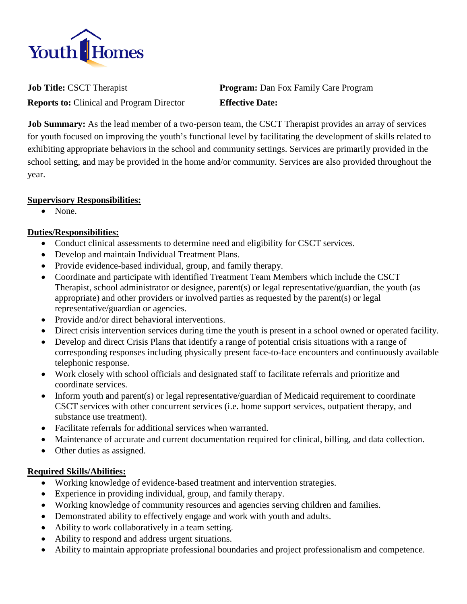

**Job Title:** CSCT Therapist **Program:** Dan Fox Family Care Program **Reports to:** Clinical and Program Director **Effective Date:**

**Job Summary:** As the lead member of a two-person team, the CSCT Therapist provides an array of services for youth focused on improving the youth's functional level by facilitating the development of skills related to exhibiting appropriate behaviors in the school and community settings. Services are primarily provided in the school setting, and may be provided in the home and/or community. Services are also provided throughout the year.

## **Supervisory Responsibilities:**

• None.

## **Duties/Responsibilities:**

- Conduct clinical assessments to determine need and eligibility for CSCT services.
- Develop and maintain Individual Treatment Plans.
- Provide evidence-based individual, group, and family therapy.
- Coordinate and participate with identified Treatment Team Members which include the CSCT Therapist, school administrator or designee, parent(s) or legal representative/guardian, the youth (as appropriate) and other providers or involved parties as requested by the parent(s) or legal representative/guardian or agencies.
- Provide and/or direct behavioral interventions.
- Direct crisis intervention services during time the youth is present in a school owned or operated facility.
- Develop and direct Crisis Plans that identify a range of potential crisis situations with a range of corresponding responses including physically present face-to-face encounters and continuously available telephonic response.
- Work closely with school officials and designated staff to facilitate referrals and prioritize and coordinate services.
- Inform youth and parent(s) or legal representative/guardian of Medicaid requirement to coordinate CSCT services with other concurrent services (i.e. home support services, outpatient therapy, and substance use treatment).
- Facilitate referrals for additional services when warranted.
- Maintenance of accurate and current documentation required for clinical, billing, and data collection.
- Other duties as assigned.

## **Required Skills/Abilities:**

- Working knowledge of evidence-based treatment and intervention strategies.
- Experience in providing individual, group, and family therapy.
- Working knowledge of community resources and agencies serving children and families.
- Demonstrated ability to effectively engage and work with youth and adults.
- Ability to work collaboratively in a team setting.
- Ability to respond and address urgent situations.
- Ability to maintain appropriate professional boundaries and project professionalism and competence.